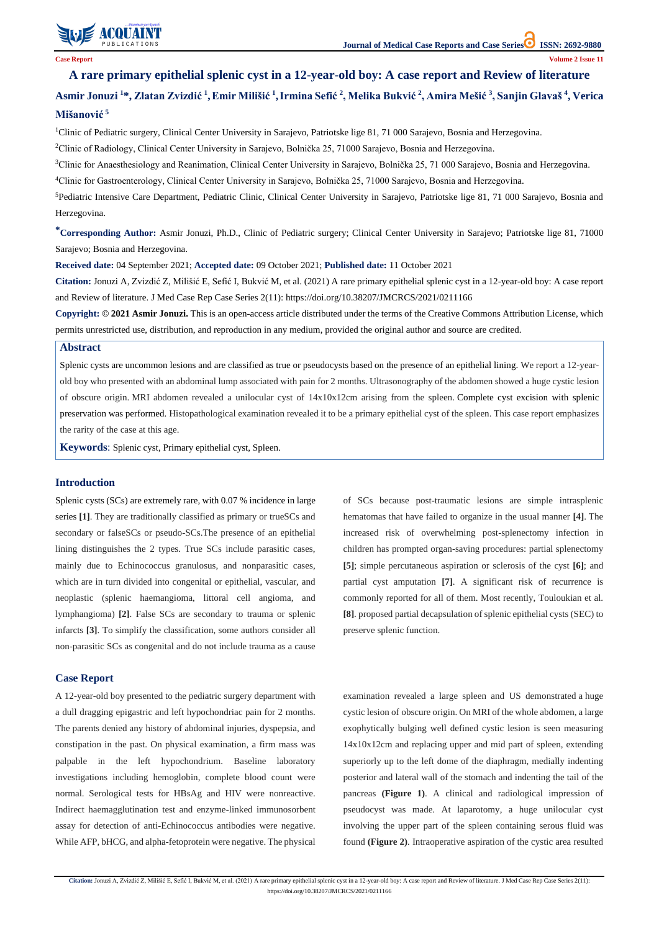

**Citation:** Jonuzi A, Zvizdić Z, Milišić E, Sefić I, Bukvić M, et al. (2021) A rare primary epithelial splenic cyst in a 12-year-old boy: A case report and Review of literature. J Med Case Rep Case Series 2(11): https://doi.org/10.38207/JMCRCS/2021/0211166

# Asmir Jonuzi <sup>1</sup>\*, Zlatan Zvizdić <sup>1</sup>, Emir Milišić <sup>1</sup>, Irmina Sefić <sup>2</sup>, Melika Bukvić <sup>2</sup>, Amira Mešić <sup>3</sup>, Sanjin Glavaš <sup>4</sup>, Verica **Mišanović <sup>5</sup>**

<sup>1</sup>Clinic of Pediatric surgery, Clinical Center University in Sarajevo, Patriotske lige 81, 71 000 Sarajevo, Bosnia and Herzegovina.

<sup>2</sup>Clinic of Radiology, Clinical Center University in Sarajevo, Bolnička 25, 71000 Sarajevo, Bosnia and Herzegovina.

<sup>3</sup>Clinic for Anaesthesiology and Reanimation, Clinical Center University in Sarajevo, Bolnička 25, 71 000 Sarajevo, Bosnia and Herzegovina.

<sup>4</sup>Clinic for Gastroenterology, Clinical Center University in Sarajevo, Bolnička 25, 71000 Sarajevo, Bosnia and Herzegovina.

# **A rare primary epithelial splenic cyst in a 12-year-old boy: A case report and Review of literature**

<sup>5</sup>Pediatric Intensive Care Department, Pediatric Clinic, Clinical Center University in Sarajevo, Patriotske lige 81, 71 000 Sarajevo, Bosnia and Herzegovina.

**\*Corresponding Author:** Asmir Jonuzi, Ph.D., Clinic of Pediatric surgery; Clinical Center University in Sarajevo; Patriotske lige 81, 71000 Sarajevo; Bosnia and Herzegovina.

**Received date:** 04 September 2021; **Accepted date:** 09 October 2021; **Published date:** 11 October 2021

**Citation:** Jonuzi A, Zvizdić Z, Milišić E, Sefić I, Bukvić M, et al. (2021) A rare primary epithelial splenic cyst in a 12-year-old boy: A case report and Review of literature. J Med Case Rep Case Series 2(11): https://doi.org/10.38207/JMCRCS/2021/0211166

**Copyright: © 2021 Asmir Jonuzi.** This is an open-access article distributed under the terms of the Creative Commons Attribution License, which permits unrestricted use, distribution, and reproduction in any medium, provided the original author and source are credited.

## **Abstract**

Splenic cysts are uncommon lesions and are classified as true or pseudocysts based on the presence of an epithelial lining. We report a 12-yearold boy who presented with an abdominal lump associated with pain for 2 months. Ultrasonography of the abdomen showed a huge cystic lesion of obscure origin. MRI abdomen revealed a unilocular cyst of 14x10x12cm arising from the spleen. Complete cyst excision with splenic preservation was performed. Histopathological examination revealed it to be a primary epithelial cyst of the spleen. This case report emphasizes the rarity of the case at this age.

**Keywords**: Splenic cyst, Primary epithelial cyst, Spleen.

## **Introduction**

Splenic cysts (SCs) are extremely rare, with 0.07 % incidence in large series **[1]**. They are traditionally classified as primary or trueSCs and secondary or falseSCs or pseudo-SCs.The presence of an epithelial lining distinguishes the 2 types. True SCs include parasitic cases, mainly due to Echinococcus granulosus, and nonparasitic cases, which are in turn divided into congenital or epithelial, vascular, and neoplastic (splenic haemangioma, littoral cell angioma, and lymphangioma) **[2]**. False SCs are secondary to trauma or splenic infarcts **[3]**. To simplify the classification, some authors consider all non-parasitic SCs as congenital and do not include trauma as a cause

of SCs because post-traumatic lesions are simple intrasplenic hematomas that have failed to organize in the usual manner **[4]**. The increased risk of overwhelming post-splenectomy infection in children has prompted organ-saving procedures: partial splenectomy **[5]**; simple percutaneous aspiration or sclerosis of the cyst **[6]**; and partial cyst amputation **[7]**. A significant risk of recurrence is commonly reported for all of them. Most recently, Touloukian et al. **[8]**. proposed partial decapsulation of splenic epithelial cysts (SEC) to preserve splenic function.

## **Case Report**

A 12-year-old boy presented to the pediatric surgery department with

a dull dragging epigastric and left hypochondriac pain for 2 months. The parents denied any history of abdominal injuries, dyspepsia, and constipation in the past. On physical examination, a firm mass was palpable in the left hypochondrium. Baseline laboratory investigations including hemoglobin, complete blood count were normal. Serological tests for HBsAg and HIV were nonreactive. Indirect haemagglutination test and enzyme-linked immunosorbent assay for detection of anti-Echinococcus antibodies were negative. While AFP, bHCG, and alpha-fetoprotein were negative. The physical examination revealed a large spleen and US demonstrated a huge

cystic lesion of obscure origin. On MRI of the whole abdomen, a large exophytically bulging well defined cystic lesion is seen measuring 14x10x12cm and replacing upper and mid part of spleen, extending superiorly up to the left dome of the diaphragm, medially indenting posterior and lateral wall of the stomach and indenting the tail of the pancreas **(Figure 1)**. A clinical and radiological impression of pseudocyst was made. At laparotomy, a huge unilocular cyst involving the upper part of the spleen containing serous fluid was found **(Figure 2)**. Intraoperative aspiration of the cystic area resulted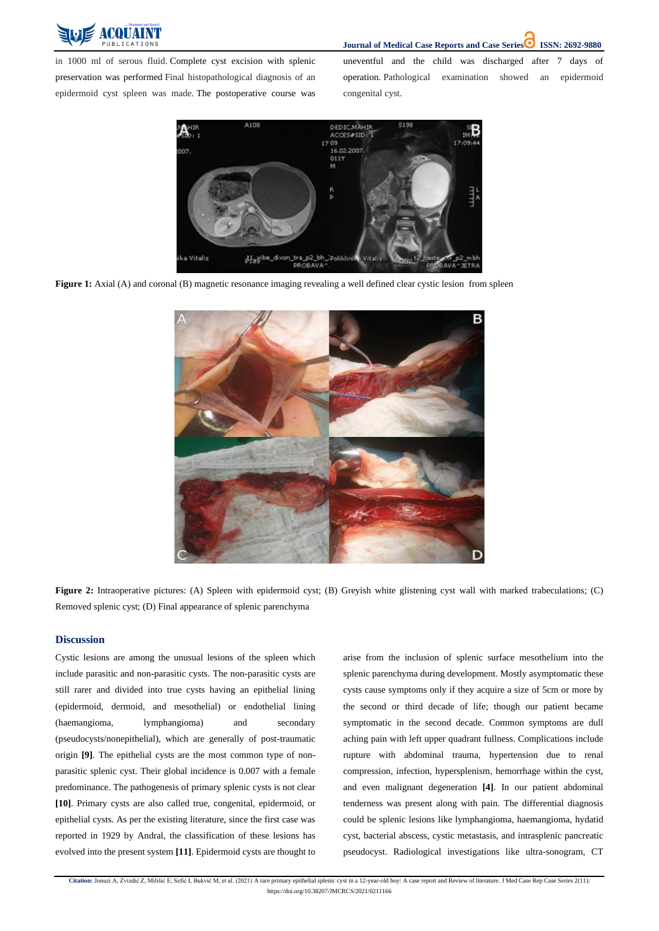

**Journal of Medical Case Reports and Case Series ISSN: 2692-9880** 

**Citation:** Jonuzi A, Zvizdić Z, Milišić E, Sefić I, Bukvić M, et al. (2021) A rare primary epithelial splenic cyst in a 12-year-old boy: A case report and Review of literature. J Med Case Rep Case Series 2(11): https://doi.org/10.38207/JMCRCS/2021/0211166

in 1000 ml of serous fluid. Complete cyst excision with splenic preservation was performed Final histopathological diagnosis of an epidermoid cyst spleen was made. The postoperative course was uneventful and the child was discharged after 7 days of operation. Pathological examination showed an epidermoid congenital cyst.



**Figure 1:** Axial (A) and coronal (B) magnetic resonance imaging revealing a well defined clear cystic lesion from spleen



**Figure 2:** Intraoperative pictures: (A) Spleen with epidermoid cyst; (B) Greyish white glistening cyst wall with marked trabeculations; (C) Removed splenic cyst; (D) Final appearance of splenic parenchyma

### **Discussion**

Cystic lesions are among the unusual lesions of the spleen which include parasitic and non-parasitic cysts. The non-parasitic cysts are still rarer and divided into true cysts having an epithelial lining (epidermoid, dermoid, and mesothelial) or endothelial lining (haemangioma, lymphangioma) and secondary (pseudocysts/nonepithelial), which are generally of post-traumatic origin **[9]**. The epithelial cysts are the most common type of nonparasitic splenic cyst. Their global incidence is 0.007 with a female predominance. The pathogenesis of primary splenic cysts is not clear **[10]**. Primary cysts are also called true, congenital, epidermoid, or epithelial cysts. As per the existing literature, since the first case was reported in 1929 by Andral, the classification of these lesions has evolved into the present system **[11]**. Epidermoid cysts are thought to arise from the inclusion of splenic surface mesothelium into the splenic parenchyma during development. Mostly asymptomatic these cysts cause symptoms only if they acquire a size of 5cm or more by the second or third decade of life; though our patient became symptomatic in the second decade. Common symptoms are dull aching pain with left upper quadrant fullness. Complications include rupture with abdominal trauma, hypertension due to renal compression, infection, hypersplenism, hemorrhage within the cyst, and even malignant degeneration **[4]**. In our patient abdominal tenderness was present along with pain. The differential diagnosis could be splenic lesions like lymphangioma, haemangioma, hydatid cyst, bacterial abscess, cystic metastasis, and intrasplenic pancreatic pseudocyst. Radiological investigations like ultra-sonogram, CT